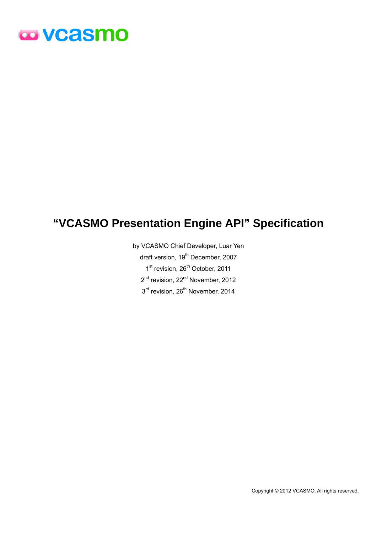# **@VCaSMO**

# **"VCASMO Presentation Engine API" Specification**

by VCASMO Chief Developer, Luar Yen draft version, 19<sup>th</sup> December, 2007 1st revision, 26<sup>th</sup> October, 2011 2<sup>nd</sup> revision, 22<sup>nd</sup> November, 2012  $3<sup>rd</sup>$  revision, 26<sup>th</sup> November, 2014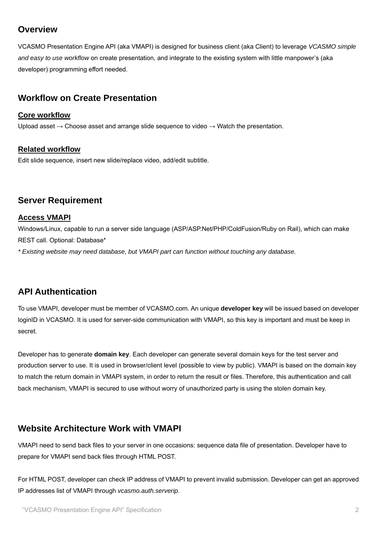# **Overview**

VCASMO Presentation Engine API (aka VMAPI) is designed for business client (aka Client) to leverage *VCASMO simple and easy to use workflow* on create presentation, and integrate to the existing system with little manpower's (aka developer) programming effort needed.

# **Workflow on Create Presentation**

# **Core workflow**

Upload asset  $\rightarrow$  Choose asset and arrange slide sequence to video  $\rightarrow$  Watch the presentation.

# **Related workflow**

Edit slide sequence, insert new slide/replace video, add/edit subtitle.

# **Server Requirement**

# **Access VMAPI**

Windows/Linux, capable to run a server side language (ASP/ASP.Net/PHP/ColdFusion/Ruby on Rail), which can make REST call. Optional: Database\*

*\* Existing website may need database, but VMAPI part can function without touching any database.* 

# **API Authentication**

To use VMAPI, developer must be member of VCASMO.com. An unique **developer key** will be issued based on developer loginID in VCASMO. It is used for server-side communication with VMAPI, so this key is important and must be keep in secret.

Developer has to generate **domain key**. Each developer can generate several domain keys for the test server and production server to use. It is used in browser/client level (possible to view by public). VMAPI is based on the domain key to match the return domain in VMAPI system, in order to return the result or files. Therefore, this authentication and call back mechanism, VMAPI is secured to use without worry of unauthorized party is using the stolen domain key.

# **Website Architecture Work with VMAPI**

VMAPI need to send back files to your server in one occasions: sequence data file of presentation. Developer have to prepare for VMAPI send back files through HTML POST.

For HTML POST, developer can check IP address of VMAPI to prevent invalid submission. Developer can get an approved IP addresses list of VMAPI through *vcasmo.auth.serverip*.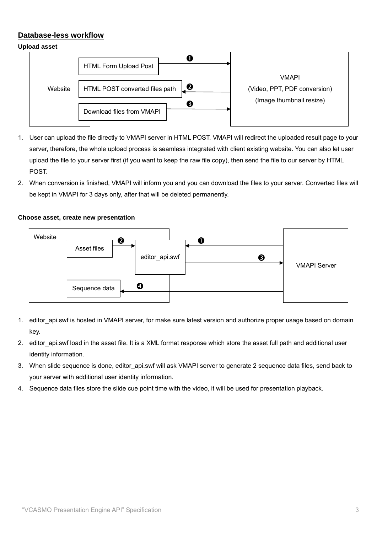# **Database-less workflow**

# **Upload asset**



- 1. User can upload the file directly to VMAPI server in HTML POST. VMAPI will redirect the uploaded result page to your server, therefore, the whole upload process is seamless integrated with client existing website. You can also let user upload the file to your server first (if you want to keep the raw file copy), then send the file to our server by HTML POST.
- 2. When conversion is finished, VMAPI will inform you and you can download the files to your server. Converted files will be kept in VMAPI for 3 days only, after that will be deleted permanently.

# **Choose asset, create new presentation**



- 1. editor api.swf is hosted in VMAPI server, for make sure latest version and authorize proper usage based on domain key.
- 2. editor api.swf load in the asset file. It is a XML format response which store the asset full path and additional user identity information.
- 3. When slide sequence is done, editor\_api.swf will ask VMAPI server to generate 2 sequence data files, send back to your server with additional user identity information.
- 4. Sequence data files store the slide cue point time with the video, it will be used for presentation playback.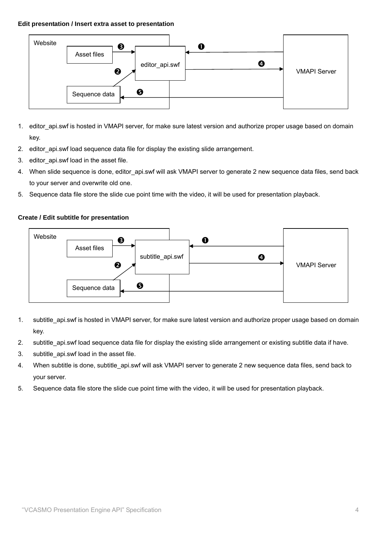#### **Edit presentation / Insert extra asset to presentation**



- 1. editor\_api.swf is hosted in VMAPI server, for make sure latest version and authorize proper usage based on domain key.
- 2. editor api.swf load sequence data file for display the existing slide arrangement.
- 3. editor\_api.swf load in the asset file.
- 4. When slide sequence is done, editor\_api.swf will ask VMAPI server to generate 2 new sequence data files, send back to your server and overwrite old one.
- 5. Sequence data file store the slide cue point time with the video, it will be used for presentation playback.

# **Create / Edit subtitle for presentation**



- 1. subtitle api.swf is hosted in VMAPI server, for make sure latest version and authorize proper usage based on domain key.
- 2. subtitle api.swf load sequence data file for display the existing slide arrangement or existing subtitle data if have.
- 3. subtitle api.swf load in the asset file.
- 4. When subtitle is done, subtitle api.swf will ask VMAPI server to generate 2 new sequence data files, send back to your server.
- 5. Sequence data file store the slide cue point time with the video, it will be used for presentation playback.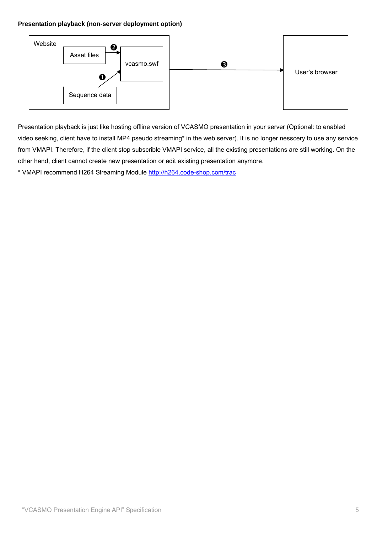# **Presentation playback (non-server deployment option)**



Presentation playback is just like hosting offline version of VCASMO presentation in your server (Optional: to enabled video seeking, client have to install MP4 pseudo streaming\* in the web server). It is no longer nesscery to use any service from VMAPI. Therefore, if the client stop subscrible VMAPI service, all the existing presentations are still working. On the other hand, client cannot create new presentation or edit existing presentation anymore.

\* VMAPI recommend H264 Streaming Module http://h264.code-shop.com/trac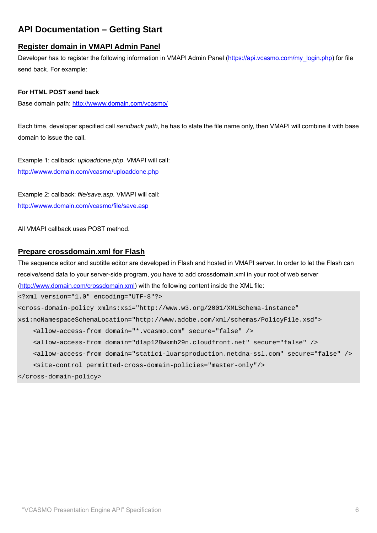# **API Documentation – Getting Start**

# **Register domain in VMAPI Admin Panel**

Developer has to register the following information in VMAPI Admin Panel (https://api.vcasmo.com/my\_login.php) for file send back. For example:

# **For HTML POST send back**

Base domain path: http://wwww.domain.com/vcasmo/

Each time, developer specified call *sendback path*, he has to state the file name only, then VMAPI will combine it with base domain to issue the call.

Example 1: callback: *uploaddone.php*. VMAPI will call: http://wwww.domain.com/vcasmo/uploaddone.php

Example 2: callback: *file/save.asp*. VMAPI will call: http://wwww.domain.com/vcasmo/file/save.asp

All VMAPI callback uses POST method.

# **Prepare crossdomain.xml for Flash**

The sequence editor and subtitle editor are developed in Flash and hosted in VMAPI server. In order to let the Flash can receive/send data to your server-side program, you have to add crossdomain.xml in your root of web server (http://www.domain.com/crossdomain.xml) with the following content inside the XML file:

```
<?xml version="1.0" encoding="UTF-8"?> 
<cross-domain-policy xmlns:xsi="http://www.w3.org/2001/XMLSchema-instance" 
xsi:noNamespaceSchemaLocation="http://www.adobe.com/xml/schemas/PolicyFile.xsd"> 
     <allow-access-from domain="*.vcasmo.com" secure="false" /> 
     <allow-access-from domain="d1ap128wkmh29n.cloudfront.net" secure="false" /> 
     <allow-access-from domain="static1-luarsproduction.netdna-ssl.com" secure="false" /> 
     <site-control permitted-cross-domain-policies="master-only"/> 
</cross-domain-policy>
```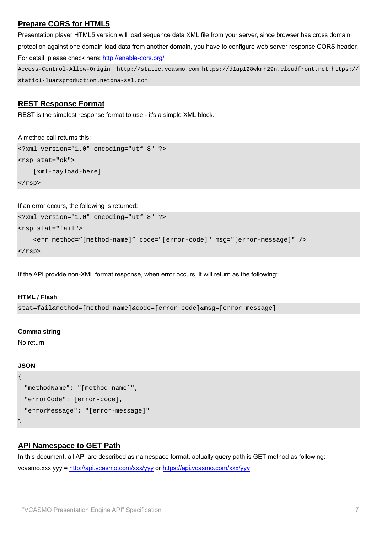# **Prepare CORS for HTML5**

Presentation player HTML5 version will load sequence data XML file from your server, since browser has cross domain protection against one domain load data from another domain, you have to configure web server response CORS header. For detail, please check here: http://enable-cors.org/ Access-Control-Allow-Origin: http://static.vcasmo.com https://d1ap128wkmh29n.cloudfront.net https://

static1-luarsproduction.netdna-ssl.com

# **REST Response Format**

REST is the simplest response format to use - it's a simple XML block.

# A method call returns this:

<?xml version="1.0" encoding="utf-8" ?> <rsp stat="ok"> [xml-payload-here] </rsp>

If an error occurs, the following is returned:

```
<?xml version="1.0" encoding="utf-8" ?> 
<rsp stat="fail"> 
     <err method="[method-name]" code="[error-code]" msg="[error-message]" /> 
\langlersp>
```
If the API provide non-XML format response, when error occurs, it will return as the following:

# **HTML / Flash**

stat=fail&method=[method-name]&code=[error-code]&msg=[error-message]

# **Comma string**

No return

# **JSON**

```
{ 
   "methodName": "[method-name]", 
   "errorCode": [error-code], 
   "errorMessage": "[error-message]" 
}
```
# **API Namespace to GET Path**

In this document, all API are described as namespace format, actually query path is GET method as following: vcasmo.xxx.yyy = http://api.vcasmo.com/xxx/yyy or https://api.vcasmo.com/xxx/yyy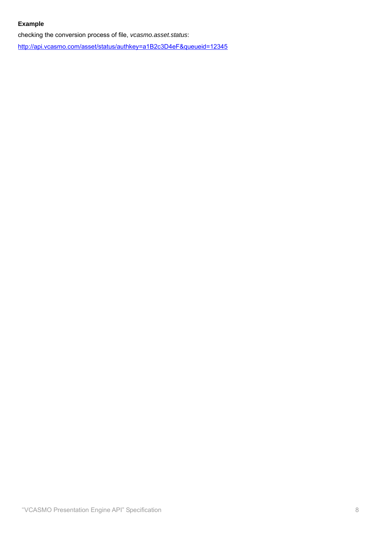# **Example**

checking the conversion process of file, *vcasmo.asset.status*:

http://api.vcasmo.com/asset/status/authkey=a1B2c3D4eF&queueid=12345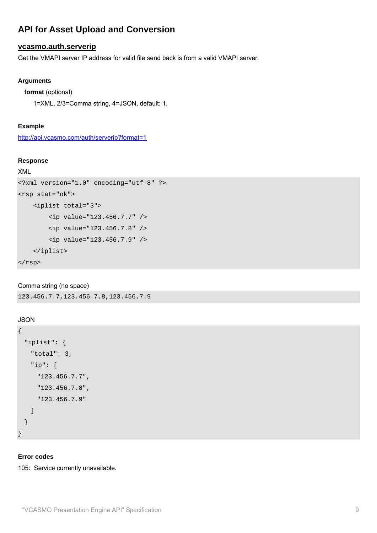# **API for Asset Upload and Conversion**

# **vcasmo.auth.serverip**

Get the VMAPI server IP address for valid file send back is from a valid VMAPI server.

# **Arguments**

```
format (optional)
```
1=XML, 2/3=Comma string, 4=JSON, default: 1.

# **Example**

http://api.vcasmo.com/auth/serverip?format=1

#### **Response**

# XML

```
<?xml version="1.0" encoding="utf-8" ?> 
<rsp stat="ok"> 
     <iplist total="3"> 
         <ip value="123.456.7.7" /> 
         <ip value="123.456.7.8" /> 
         <ip value="123.456.7.9" /> 
     </iplist> 
\langlersp>
```
# Comma string (no space)

123.456.7.7,123.456.7.8,123.456.7.9

# **JSON**

```
{ 
   "iplist": { 
     "total": 3, 
     "ip": [ 
       "123.456.7.7", 
       "123.456.7.8", 
       "123.456.7.9" 
     ] 
   } 
}
```
# **Error codes**

105: Service currently unavailable.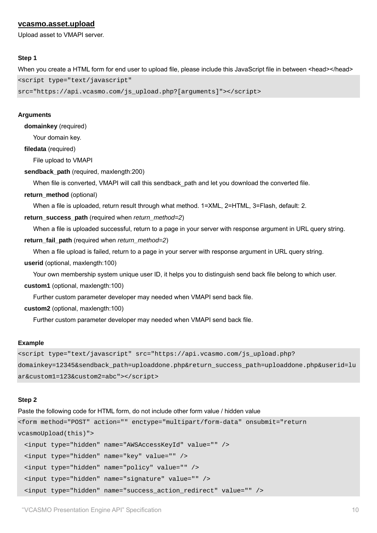# **vcasmo.asset.upload**

Upload asset to VMAPI server.

#### **Step 1**

When you create a HTML form for end user to upload file, please include this JavaScript file in between <head></head> <script type="text/javascript"

src="https://api.vcasmo.com/js\_upload.php?[arguments]"></script>

#### **Arguments**

**domainkey** (required)

Your domain key.

**filedata** (required)

File upload to VMAPI

#### **sendback\_path** (required, maxlength:200)

When file is converted, VMAPI will call this sendback\_path and let you download the converted file.

#### **return\_method** (optional)

When a file is uploaded, return result through what method. 1=XML, 2=HTML, 3=Flash, default: 2.

#### **return\_success\_path** (required when *return\_method=2*)

When a file is uploaded successful, return to a page in your server with response argument in URL query string. **return\_fail\_path** (required when *return\_method=2*)

When a file upload is failed, return to a page in your server with response argument in URL query string. **userid** (optional, maxlength:100)

Your own membership system unique user ID, it helps you to distinguish send back file belong to which user. **custom1** (optional, maxlength:100)

Further custom parameter developer may needed when VMAPI send back file.

**custom2** (optional, maxlength:100)

Further custom parameter developer may needed when VMAPI send back file.

#### **Example**

<script type="text/javascript" src="https://api.vcasmo.com/js\_upload.php? domainkey=12345&sendback\_path=uploaddone.php&return\_success\_path=uploaddone.php&userid=lu ar&custom1=123&custom2=abc"></script>

#### **Step 2**

Paste the following code for HTML form, do not include other form value / hidden value

```
<form method="POST" action="" enctype="multipart/form-data" onsubmit="return 
vcasmoUpload(this)"> 
  <input type="hidden" name="AWSAccessKeyId" value="" />
```

```
 <input type="hidden" name="key" value="" />
```

```
 <input type="hidden" name="policy" value="" />
```

```
 <input type="hidden" name="signature" value="" /> 
 <input type="hidden" name="success_action_redirect" value="" />
```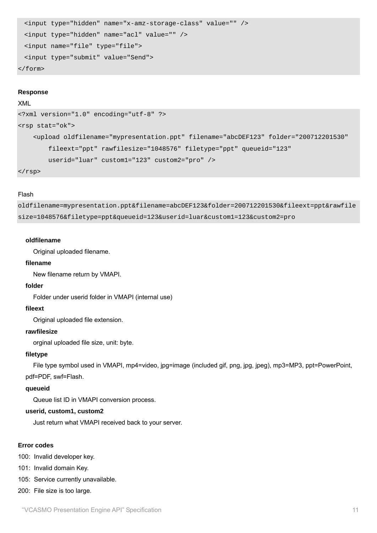```
 <input type="hidden" name="x-amz-storage-class" value="" /> 
  <input type="hidden" name="acl" value="" /> 
  <input name="file" type="file"> 
  <input type="submit" value="Send"> 
</form>
```
#### **Response**

#### XML

```
<?xml version="1.0" encoding="utf-8" ?> 
<rsp stat="ok"> 
     <upload oldfilename="mypresentation.ppt" filename="abcDEF123" folder="200712201530" 
         fileext="ppt" rawfilesize="1048576" filetype="ppt" queueid="123" 
         userid="luar" custom1="123" custom2="pro" />
```
 $\langle$ rsp>

#### Flash

oldfilename=mypresentation.ppt&filename=abcDEF123&folder=200712201530&fileext=ppt&rawfile size=1048576&filetype=ppt&queueid=123&userid=luar&custom1=123&custom2=pro

#### **oldfilename**

Original uploaded filename.

#### **filename**

New filename return by VMAPI.

#### **folder**

Folder under userid folder in VMAPI (internal use)

#### **fileext**

Original uploaded file extension.

#### **rawfilesize**

orginal uploaded file size, unit: byte.

#### **filetype**

 File type symbol used in VMAPI, mp4=video, jpg=image (included gif, png, jpg, jpeg), mp3=MP3, ppt=PowerPoint, pdf=PDF, swf=Flash.

#### **queueid**

Queue list ID in VMAPI conversion process.

# **userid, custom1, custom2**

Just return what VMAPI received back to your server.

#### **Error codes**

100: Invalid developer key.

101: Invalid domain Key.

105: Service currently unavailable.

200: File size is too large.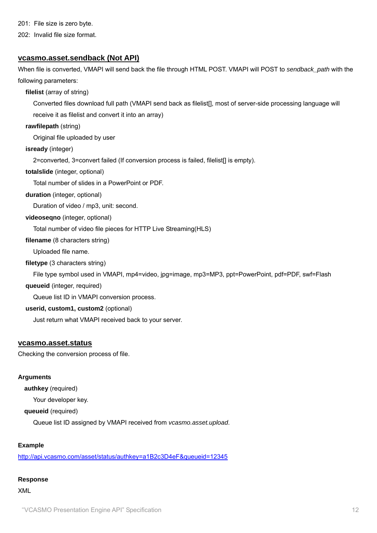201: File size is zero byte.

202: Invalid file size format.

# **vcasmo.asset.sendback (Not API)**

When file is converted, VMAPI will send back the file through HTML POST. VMAPI will POST to *sendback\_path* with the following parameters:

**filelist** (array of string)

Converted files download full path (VMAPI send back as filelist[], most of server-side processing language will

receive it as filelist and convert it into an array)

**rawfilepath** (string)

Original file uploaded by user

**isready** (integer)

2=converted, 3=convert failed (If conversion process is failed, filelist[] is empty).

#### **totalslide** (integer, optional)

Total number of slides in a PowerPoint or PDF.

# **duration** (integer, optional)

Duration of video / mp3, unit: second.

# **videoseqno** (integer, optional)

Total number of video file pieces for HTTP Live Streaming(HLS)

# **filename** (8 characters string)

Uploaded file name.

# **filetype** (3 characters string)

File type symbol used in VMAPI, mp4=video, jpg=image, mp3=MP3, ppt=PowerPoint, pdf=PDF, swf=Flash

#### **queueid** (integer, required)

Queue list ID in VMAPI conversion process.

# **userid, custom1, custom2** (optional)

Just return what VMAPI received back to your server.

# **vcasmo.asset.status**

Checking the conversion process of file.

#### **Arguments**

**authkey** (required)

Your developer key.

**queueid** (required)

Queue list ID assigned by VMAPI received from *vcasmo.asset.upload*.

# **Example**

http://api.vcasmo.com/asset/status/authkey=a1B2c3D4eF&queueid=12345

# **Response**

XML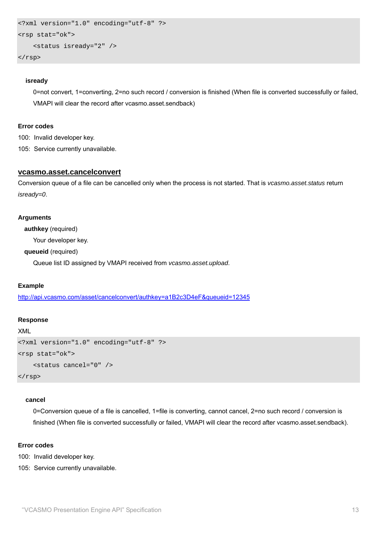```
<?xml version="1.0" encoding="utf-8" ?> 
<rsp stat="ok"> 
     <status isready="2" />
```
</rsp>

#### **isready**

0=not convert, 1=converting, 2=no such record / conversion is finished (When file is converted successfully or failed, VMAPI will clear the record after vcasmo.asset.sendback)

#### **Error codes**

100: Invalid developer key.

105: Service currently unavailable.

# **vcasmo.asset.cancelconvert**

Conversion queue of a file can be cancelled only when the process is not started. That is *vcasmo.asset.status* return *isready=0*.

#### **Arguments**

**authkey** (required)

Your developer key.

#### **queueid** (required)

Queue list ID assigned by VMAPI received from *vcasmo.asset.upload*.

# **Example**

http://api.vcasmo.com/asset/cancelconvert/authkey=a1B2c3D4eF&queueid=12345

#### **Response**

```
XML
```

```
<?xml version="1.0" encoding="utf-8" ?> 
<rsp stat="ok"> 
     <status cancel="0" /> 
\langlersp>
```
#### **cancel**

0=Conversion queue of a file is cancelled, 1=file is converting, cannot cancel, 2=no such record / conversion is finished (When file is converted successfully or failed, VMAPI will clear the record after vcasmo.asset.sendback).

# **Error codes**

100: Invalid developer key.

105: Service currently unavailable.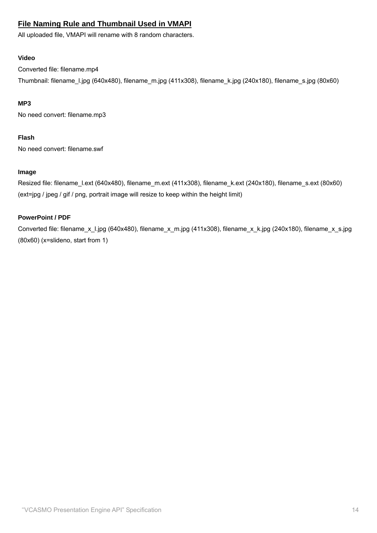# **File Naming Rule and Thumbnail Used in VMAPI**

All uploaded file, VMAPI will rename with 8 random characters.

# **Video**

Converted file: filename.mp4

Thumbnail: filename\_l.jpg (640x480), filename\_m.jpg (411x308), filename\_k.jpg (240x180), filename\_s.jpg (80x60)

# **MP3**

No need convert: filename.mp3

# **Flash**

No need convert: filename.swf

# **Image**

Resized file: filename\_l.ext (640x480), filename\_m.ext (411x308), filename\_k.ext (240x180), filename\_s.ext (80x60) (ext=jpg / jpeg / gif / png, portrait image will resize to keep within the height limit)

# **PowerPoint / PDF**

Converted file: filename\_x\_l.jpg (640x480), filename\_x\_m.jpg (411x308), filename\_x\_k.jpg (240x180), filename\_x\_s.jpg (80x60) (x=slideno, start from 1)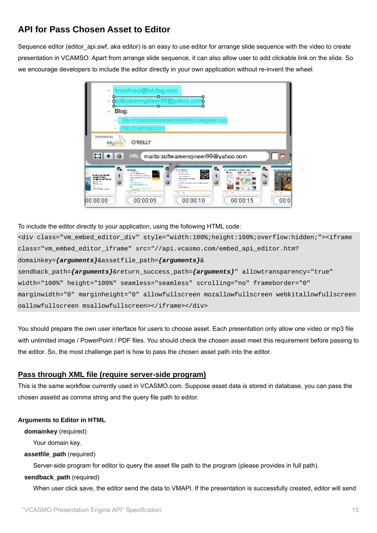# **API for Pass Chosen Asset to Editor**

Sequence editor (editor\_api.swf, aka editor) is an easy to use editor for arrange slide sequence with the video to create presentation in VCAMSO. Apart from arrange slide sequence, it can also allow user to add clickable link on the slide. So we encourage developers to include the editor directly in your own application without re-invent the wheel.



# To include the editor directly to your application, using the following HTML code:

```
<div class="vm_embed_editor_div" style="width:100%;height:100%;overflow:hidden;"><iframe 
class="vm_embed_editor_iframe" src="//api.vcasmo.com/embed_api_editor.htm? 
domainkey={arguments}&assetfile_path={arguments}& 
sendback_path={arguments}&return_success_path={arguments}" allowtransparency="true" 
width="100%" height="100%" seamless="seamless" scrolling="no" frameborder="0" 
marginwidth="0" marginheight="0" allowfullscreen mozallowfullscreen webkitallowfullscreen 
oallowfullscreen msallowfullscreen></iframe></div>
```
You should prepare the own user interface for users to choose asset. Each presentation only allow one video or mp3 file with unlimited image / PowerPoint / PDF files. You should check the chosen asset meet this requirement before passing to the editor. So, the most challenge part is how to pass the chosen asset path into the editor.

# **Pass through XML file (require server-side program)**

This is the same workflow currently used in VCASMO.com. Suppose asset data is stored in database, you can pass the chosen assetid as comma string and the query file path to editor.

# **Arguments to Editor in HTML**

**domainkey** (required)

Your domain key.

# **assetfile\_path** (required)

Server-side program for editor to query the asset file path to the program (please provides in full path).

# **sendback\_path** (required)

When user click save, the editor send the data to VMAPI. If the presentation is successfully created, editor will send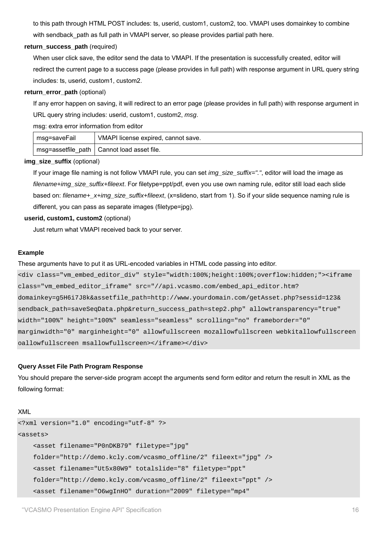to this path through HTML POST includes: ts, userid, custom1, custom2, too. VMAPI uses domainkey to combine with sendback path as full path in VMAPI server, so please provides partial path here.

#### **return\_success\_path** (required)

When user click save, the editor send the data to VMAPI. If the presentation is successfully created, editor will redirect the current page to a success page (please provides in full path) with response argument in URL query string includes: ts, userid, custom1, custom2.

#### **return\_error\_path** (optional)

If any error happen on saving, it will redirect to an error page (please provides in full path) with response argument in URL query string includes: userid, custom1, custom2, *msg*.

msg: extra error information from editor

| I msg=saveFail | VMAPI license expired, cannot save.          |
|----------------|----------------------------------------------|
|                | msg=assetfile path   Cannot load asset file. |

#### **img\_size\_suffix** (optional)

If your image file naming is not follow VMAPI rule, you can set *img\_size\_suffix="."*, editor will load the image as *filename+img\_size\_suffix+fileext*. For filetype=ppt/pdf, even you use own naming rule, editor still load each slide based on: *filename+\_x+img\_size\_suffix+fileext*, (x=slideno, start from 1). So if your slide sequence naming rule is different, you can pass as separate images (filetype=jpg).

# **userid, custom1, custom2** (optional)

Just return what VMAPI received back to your server.

#### **Example**

These arguments have to put it as URL-encoded variables in HTML code passing into editor.

<div class="vm\_embed\_editor\_div" style="width:100%;height:100%;overflow:hidden;"><iframe class="vm\_embed\_editor\_iframe" src="//api.vcasmo.com/embed\_api\_editor.htm? domainkey=g5H6i7J8k&assetfile\_path=http://www.yourdomain.com/getAsset.php?sessid=123& sendback path=saveSeqData.php&return success path=step2.php" allowtransparency="true" width="100%" height="100%" seamless="seamless" scrolling="no" frameborder="0" marginwidth="0" marginheight="0" allowfullscreen mozallowfullscreen webkitallowfullscreen oallowfullscreen msallowfullscreen></iframe></div>

# **Query Asset File Path Program Response**

You should prepare the server-side program accept the arguments send form editor and return the result in XML as the following format:

#### XML

```
<?xml version="1.0" encoding="utf-8" ?> 
<assets> 
     <asset filename="P0nDKB79" filetype="jpg" 
     folder="http://demo.kcly.com/vcasmo_offline/2" fileext="jpg" /> 
     <asset filename="Ut5x80W9" totalslide="8" filetype="ppt" 
     folder="http://demo.kcly.com/vcasmo_offline/2" fileext="ppt" /> 
     <asset filename="O6wgInHO" duration="2009" filetype="mp4"
```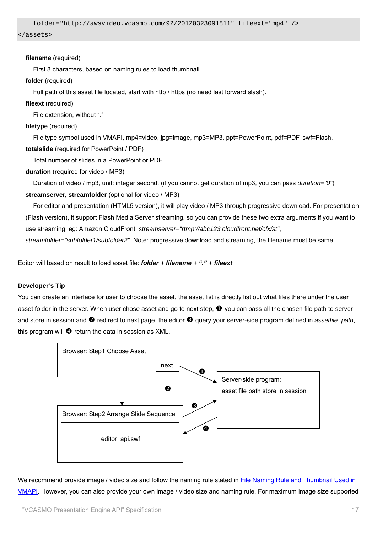```
 folder="http://awsvideo.vcasmo.com/92/20120323091811" fileext="mp4" />
```
</assets>

#### **filename** (required)

First 8 characters, based on naming rules to load thumbnail.

#### **folder** (required)

Full path of this asset file located, start with http / https (no need last forward slash).

#### **fileext** (required)

File extension, without "."

# **filetype** (required)

File type symbol used in VMAPI, mp4=video, jpg=image, mp3=MP3, ppt=PowerPoint, pdf=PDF, swf=Flash. **totalslide** (required for PowerPoint / PDF)

Total number of slides in a PowerPoint or PDF.

# **duration** (required for video / MP3)

Duration of video / mp3, unit: integer second. (if you cannot get duration of mp3, you can pass *duration="0"*)

**streamserver, streamfolder** (optional for video / MP3)

 For editor and presentation (HTML5 version), it will play video / MP3 through progressive download. For presentation (Flash version), it support Flash Media Server streaming, so you can provide these two extra arguments if you want to use streaming. eg: Amazon CloudFront: *streamserver="rtmp://abc123.cloudfront.net/cfx/st"*,

*streamfolder="subfolder1/subfolder2"*. Note: progressive download and streaming, the filename must be same.

Editor will based on result to load asset file: *folder + filename + "." + fileext*

# **Developer's Tip**

You can create an interface for user to choose the asset, the asset list is directly list out what files there under the user asset folder in the server. When user chose asset and go to next step,  $\bullet$  you can pass all the chosen file path to server and store in session and <sup>*Q*</sup> redirect to next page, the editor <sup>*Q*</sup> query your server-side program defined in *assetfile\_path*, this program will  $\bullet$  return the data in session as XML.



We recommend provide image / video size and follow the naming rule stated in File Naming Rule and Thumbnail Used in VMAPI. However, you can also provide your own image / video size and naming rule. For maximum image size supported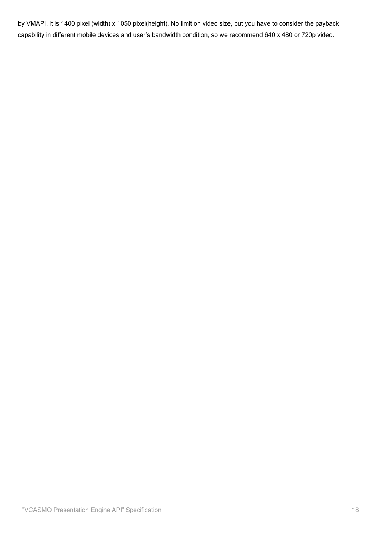by VMAPI, it is 1400 pixel (width) x 1050 pixel(height). No limit on video size, but you have to consider the payback capability in different mobile devices and user's bandwidth condition, so we recommend 640 x 480 or 720p video.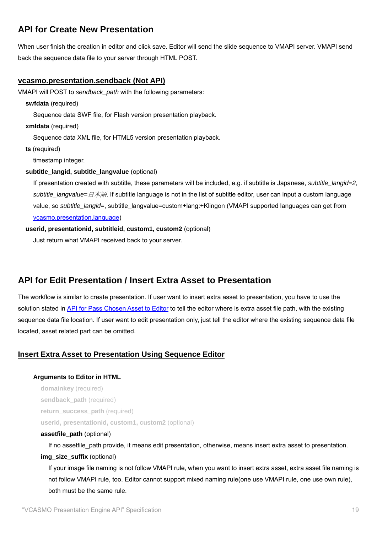# **API for Create New Presentation**

When user finish the creation in editor and click save. Editor will send the slide sequence to VMAPI server. VMAPI send back the sequence data file to your server through HTML POST.

# **vcasmo.presentation.sendback (Not API)**

VMAPI will POST to *sendback\_path* with the following parameters:

**swfdata** (required)

Sequence data SWF file, for Flash version presentation playback.

**xmldata** (required)

Sequence data XML file, for HTML5 version presentation playback.

**ts** (required)

timestamp integer.

#### **subtitle\_langid, subtitle\_langvalue** (optional)

If presentation created with subtitle, these parameters will be included, e.g. if subtitle is Japanese, *subtitle\_langid=2*, *subtitle\_langvalue=*日本語. If subtitle language is not in the list of subtitle editor, user can input a custom language value, so *subtitle\_langid=*, subtitle\_langvalue=custom+lang:+Klingon (VMAPI supported languages can get from vcasmo.presentation.language)

#### **userid, presentationid, subtitleid, custom1, custom2** (optional)

Just return what VMAPI received back to your server.

# **API for Edit Presentation / Insert Extra Asset to Presentation**

The workflow is similar to create presentation. If user want to insert extra asset to presentation, you have to use the solution stated in API for Pass Chosen Asset to Editor to tell the editor where is extra asset file path, with the existing sequence data file location. If user want to edit presentation only, just tell the editor where the existing sequence data file located, asset related part can be omitted.

# **Insert Extra Asset to Presentation Using Sequence Editor**

**Arguments to Editor in HTML** 

**domainkey** (required) sendback path (required) **return\_success\_path** (required) **userid, presentationid, custom1, custom2** (optional)

#### **assetfile\_path** (optional)

If no assetfile\_path provide, it means edit presentation, otherwise, means insert extra asset to presentation. **img\_size\_suffix** (optional)

If your image file naming is not follow VMAPI rule, when you want to insert extra asset, extra asset file naming is not follow VMAPI rule, too. Editor cannot support mixed naming rule(one use VMAPI rule, one use own rule), both must be the same rule.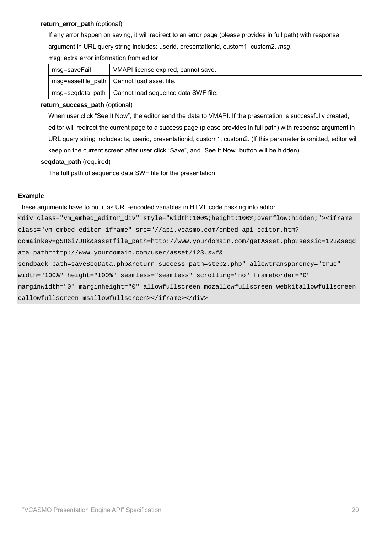#### **return\_error\_path** (optional)

If any error happen on saving, it will redirect to an error page (please provides in full path) with response argument in URL query string includes: userid, presentationid, custom1, custom2, *msg*.

|  |  |  | msg: extra error information from editor |  |  |
|--|--|--|------------------------------------------|--|--|
|--|--|--|------------------------------------------|--|--|

| msg=saveFail | VMAPI license expired, cannot save.                    |  |
|--------------|--------------------------------------------------------|--|
|              | msg=assetfile_path   Cannot load asset file.           |  |
|              | msg=segdata path   Cannot load sequence data SWF file. |  |

#### **return\_success\_path** (optional)

When user click "See It Now", the editor send the data to VMAPI. If the presentation is successfully created, editor will redirect the current page to a success page (please provides in full path) with response argument in URL query string includes: ts, userid, presentationid, custom1, custom2. (If this parameter is omitted, editor will keep on the current screen after user click "Save", and "See It Now" button will be hidden)

#### **seqdata\_path** (required)

The full path of sequence data SWF file for the presentation.

#### **Example**

These arguments have to put it as URL-encoded variables in HTML code passing into editor.

<div class="vm\_embed\_editor\_div" style="width:100%;height:100%;overflow:hidden;"><iframe class="vm\_embed\_editor\_iframe" src="//api.vcasmo.com/embed\_api\_editor.htm? domainkey=g5H6i7J8k&assetfile\_path=http://www.yourdomain.com/getAsset.php?sessid=123&seqd ata\_path=http://www.yourdomain.com/user/asset/123.swf& sendback\_path=saveSeqData.php&return\_success\_path=step2.php" allowtransparency="true" width="100%" height="100%" seamless="seamless" scrolling="no" frameborder="0" marginwidth="0" marginheight="0" allowfullscreen mozallowfullscreen webkitallowfullscreen oallowfullscreen msallowfullscreen></iframe></div>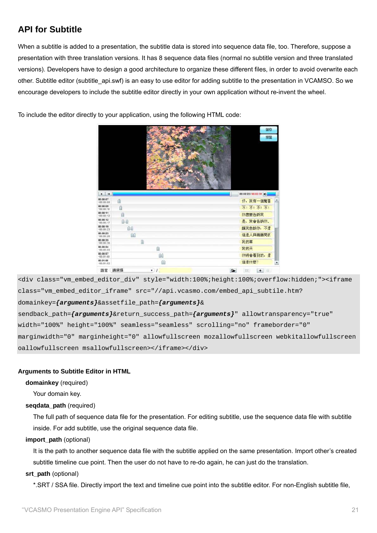# **API for Subtitle**

When a subtitle is added to a presentation, the subtitle data is stored into sequence data file, too. Therefore, suppose a presentation with three translation versions. It has 8 sequence data files (normal no subtitle version and three translated versions). Developers have to design a good architecture to organize these different files, in order to avoid overwrite each other. Subtitle editor (subtitle\_api.swf) is an easy to use editor for adding subtitle to the presentation in VCAMSO. So we encourage developers to include the subtitle editor directly in your own application without re-invent the wheel.

To include the editor directly to your application, using the following HTML code:



<div class="vm\_embed\_editor\_div" style="width:100%;height:100%;overflow:hidden;"><iframe class="vm\_embed\_editor\_iframe" src="//api.vcasmo.com/embed\_api\_subtile.htm? domainkey=*{arguments}*&assetfile\_path=*{arguments}*& sendback\_path=*{arguments}*&return\_success\_path=*{arguments}*" allowtransparency="true" width="100%" height="100%" seamless="seamless" scrolling="no" frameborder="0" marginwidth="0" marginheight="0" allowfullscreen mozallowfullscreen webkitallowfullscreen oallowfullscreen msallowfullscreen></iframe></div>

# **Arguments to Subtitle Editor in HTML**

# **domainkey** (required)

Your domain key.

# **seqdata\_path** (required)

The full path of sequence data file for the presentation. For editing subtitle, use the sequence data file with subtitle inside. For add subtitle, use the original sequence data file.

#### **import\_path** (optional)

It is the path to another sequence data file with the subtitle applied on the same presentation. Import other's created subtitle timeline cue point. Then the user do not have to re-do again, he can just do the translation.

# **srt\_path** (optional)

\*.SRT / SSA file. Directly import the text and timeline cue point into the subtitle editor. For non-English subtitle file,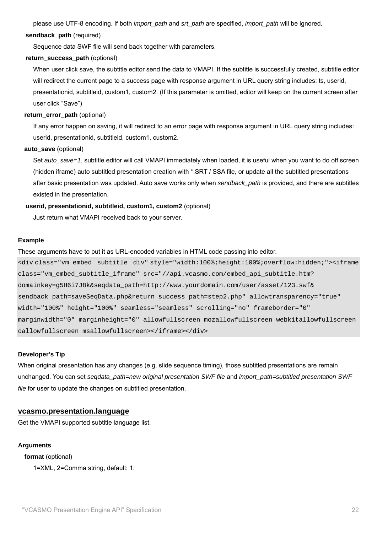please use UTF-8 encoding. If both *import\_path* and *srt\_path* are specified, *import\_path* will be ignored.

#### **sendback\_path** (required)

Sequence data SWF file will send back together with parameters.

#### **return\_success\_path** (optional)

When user click save, the subtitle editor send the data to VMAPI. If the subtitle is successfully created, subtitle editor will redirect the current page to a success page with response argument in URL query string includes: ts, userid, presentationid, subtitleid, custom1, custom2. (If this parameter is omitted, editor will keep on the current screen after user click "Save")

#### return error path (optional)

If any error happen on saving, it will redirect to an error page with response argument in URL query string includes: userid, presentationid, subtitleid, custom1, custom2.

#### **auto\_save** (optional)

Set *auto\_save=1*, subtitle editor will call VMAPI immediately when loaded, it is useful when you want to do off screen (hidden iframe) auto subtitled presentation creation with \*.SRT / SSA file, or update all the subtitled presentations after basic presentation was updated. Auto save works only when *sendback\_path* is provided, and there are subtitles existed in the presentation.

#### **userid, presentationid, subtitleid, custom1, custom2** (optional)

Just return what VMAPI received back to your server.

#### **Example**

These arguments have to put it as URL-encoded variables in HTML code passing into editor.

<div class="vm\_embed\_ subtitle \_div" style="width:100%;height:100%;overflow:hidden;"><iframe class="vm\_embed\_subtitle\_iframe" src="//api.vcasmo.com/embed\_api\_subtitle.htm? domainkey=g5H6i7J8k&seqdata\_path=http://www.yourdomain.com/user/asset/123.swf& sendback\_path=saveSeqData.php&return\_success\_path=step2.php" allowtransparency="true" width="100%" height="100%" seamless="seamless" scrolling="no" frameborder="0" marginwidth="0" marginheight="0" allowfullscreen mozallowfullscreen webkitallowfullscreen oallowfullscreen msallowfullscreen></iframe></div>

#### **Developer's Tip**

When original presentation has any changes (e.g. slide sequence timing), those subtitled presentations are remain unchanged. You can set *seqdata\_path=new original presentation SWF file* and *import\_path=subtitled presentation SWF file* for user to update the changes on subtitled presentation.

# **vcasmo.presentation.language**

Get the VMAPI supported subtitle language list.

#### **Arguments**

**format** (optional) 1=XML, 2=Comma string, default: 1.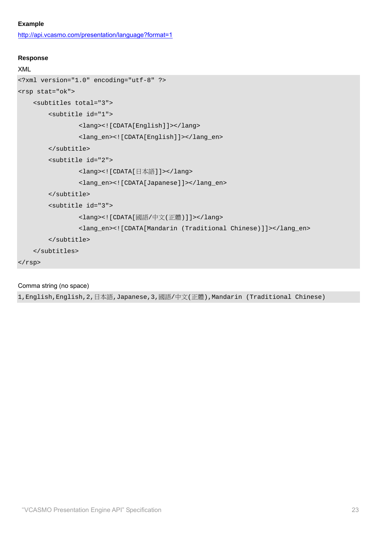# **Example**

http://api.vcasmo.com/presentation/language?format=1

#### **Response**

```
XML
```

```
<?xml version="1.0" encoding="utf-8" ?> 
<rsp stat="ok"> 
     <subtitles total="3"> 
         <subtitle id="1"> 
                  <lang><![CDATA[English]]></lang> 
                  <lang_en><![CDATA[English]]></lang_en> 
         </subtitle> 
         <subtitle id="2"> 
                  <lang><![CDATA[日本語]]></lang> 
                  <lang_en><![CDATA[Japanese]]></lang_en> 
         </subtitle> 
         <subtitle id="3"> 
                  <lang><![CDATA[國語/中文(正體)]]></lang> 
                  <lang_en><![CDATA[Mandarin (Traditional Chinese)]]></lang_en> 
         </subtitle> 
     </subtitles> 
</rsp>
```
# Comma string (no space)

1,English,English,2,日本語,Japanese,3,國語/中文(正體),Mandarin (Traditional Chinese)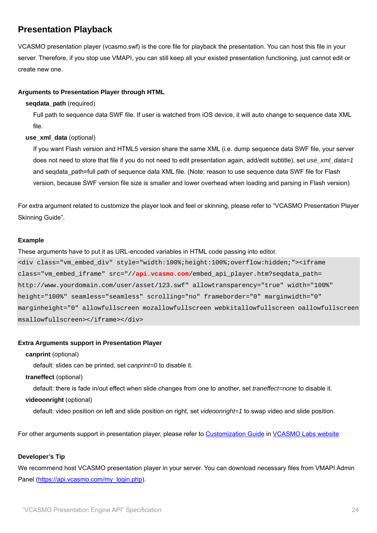# **Presentation Playback**

VCASMO presentation player (vcasmo.swf) is the core file for playback the presentation. You can host this file in your server. Therefore, if you stop use VMAPI, you can still keep all your existed presentation functioning, just cannot edit or create new one.

# **Arguments to Presentation Player through HTML**

#### **seqdata\_path** (required)

Full path to sequence data SWF file. If user is watched from iOS device, it will auto change to sequence data XML file.

#### **use\_xml\_data** (optional)

If you want Flash version and HTML5 version share the same XML (i.e. dump sequence data SWF file, your server does not need to store that file if you do not need to edit presentation again, add/edit subtitle), set *use\_xml\_data=1* and segdata path=full path of sequence data XML file. (Note: reason to use sequence data SWF file for Flash version, because SWF version file size is smaller and lower overhead when loading and parsing in Flash version)

For extra argument related to customize the player look and feel or skinning, please refer to "VCASMO Presentation Player Skinning Guide".

#### **Example**

These arguments have to put it as URL-encoded variables in HTML code passing into editor.

```
<div class="vm_embed_div" style="width:100%;height:100%;overflow:hidden;"><iframe 
class="vm_embed_iframe" src="//api.vcasmo.com/embed_api_player.htm?seqdata_path= 
http://www.yourdomain.com/user/asset/123.swf" allowtransparency="true" width="100%" 
height="100%" seamless="seamless" scrolling="no" frameborder="0" marginwidth="0" 
marginheight="0" allowfullscreen mozallowfullscreen webkitallowfullscreen oallowfullscreen 
msallowfullscreen></iframe></div>
```
#### **Extra Arguments support in Presentation Player**

#### **canprint** (optional)

default: slides can be printed, set *canprint=0* to disable it.

#### **traneffect** (optional)

default: there is fade in/out effect when slide changes from one to another, set *traneffect=none* to disable it.

#### **videoonright** (optional)

default: video position on left and slide position on right, set *videoonright=1* to swap video and slide position.

For other arguments support in presentation player, please refer to Customization Guide in VCASMO Labs website

# **Developer's Tip**

We recommend host VCASMO presentation player in your server. You can download necessary files from VMAPI Admin Panel (https://api.vcasmo.com/my\_login.php).